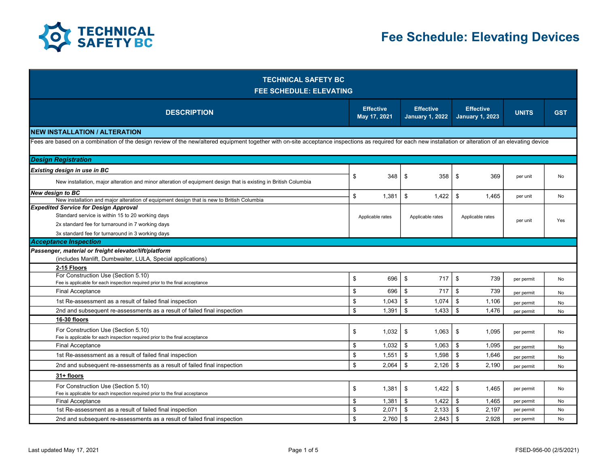

| <b>TECHNICAL SAFETY BC</b><br><b>FEE SCHEDULE: ELEVATING</b>                                                                                                                                              |    |                                  |                                            |                                            |              |            |  |  |  |
|-----------------------------------------------------------------------------------------------------------------------------------------------------------------------------------------------------------|----|----------------------------------|--------------------------------------------|--------------------------------------------|--------------|------------|--|--|--|
| <b>DESCRIPTION</b>                                                                                                                                                                                        |    | <b>Effective</b><br>May 17, 2021 | <b>Effective</b><br><b>January 1, 2022</b> | <b>Effective</b><br><b>January 1, 2023</b> | <b>UNITS</b> | <b>GST</b> |  |  |  |
| <b>NEW INSTALLATION / ALTERATION</b>                                                                                                                                                                      |    |                                  |                                            |                                            |              |            |  |  |  |
| Fees are based on a combination of the design review of the new/altered equipment together with on-site acceptance inspections as required for each new installation or alteration of an elevating device |    |                                  |                                            |                                            |              |            |  |  |  |
| <b>Design Registration</b>                                                                                                                                                                                |    |                                  |                                            |                                            |              |            |  |  |  |
| Existing design in use in BC                                                                                                                                                                              |    |                                  |                                            |                                            |              | No         |  |  |  |
| New installation, major alteration and minor alteration of equipment design that is existing in British Columbia                                                                                          | \$ | 348                              | \$<br>358                                  | \$<br>369                                  | per unit     |            |  |  |  |
| <b>New design to BC</b>                                                                                                                                                                                   | \$ | 1.381                            | \$<br>1.422                                | \$<br>1.465                                | per unit     | <b>No</b>  |  |  |  |
| New installation and major alteration of equipment design that is new to British Columbia<br><b>Expedited Service for Design Approval</b>                                                                 |    |                                  |                                            |                                            |              |            |  |  |  |
| Standard service is within 15 to 20 working days                                                                                                                                                          |    | Applicable rates                 | Applicable rates                           | Applicable rates                           |              |            |  |  |  |
| 2x standard fee for turnaround in 7 working days                                                                                                                                                          |    |                                  |                                            |                                            | per unit     | <b>Yes</b> |  |  |  |
| 3x standard fee for turnaround in 3 working days                                                                                                                                                          |    |                                  |                                            |                                            |              |            |  |  |  |
| <b>Acceptance Inspection</b>                                                                                                                                                                              |    |                                  |                                            |                                            |              |            |  |  |  |
| Passenger, material or freight elevator/lift/platform                                                                                                                                                     |    |                                  |                                            |                                            |              |            |  |  |  |
| (includes Manlift, Dumbwaiter, LULA, Special applications)                                                                                                                                                |    |                                  |                                            |                                            |              |            |  |  |  |
| 2-15 Floors                                                                                                                                                                                               |    |                                  |                                            |                                            |              |            |  |  |  |
| For Construction Use (Section 5.10)<br>Fee is applicable for each inspection required prior to the final acceptance                                                                                       | \$ | 696                              | \$<br>717                                  | \$<br>739                                  | per permit   | No         |  |  |  |
| <b>Final Acceptance</b>                                                                                                                                                                                   | \$ | 696                              | \$<br>717                                  | \$<br>739                                  | per permit   | No         |  |  |  |
| 1st Re-assessment as a result of failed final inspection                                                                                                                                                  | \$ | 1,043                            | - \$<br>1,074                              | \$<br>1,106                                | per permit   | No         |  |  |  |
| 2nd and subsequent re-assessments as a result of failed final inspection                                                                                                                                  | \$ | 1,391                            | - \$<br>1,433                              | \$<br>1.476                                | per permit   | <b>No</b>  |  |  |  |
| 16-30 floors                                                                                                                                                                                              |    |                                  |                                            |                                            |              |            |  |  |  |
| For Construction Use (Section 5.10)                                                                                                                                                                       |    |                                  | \$                                         | \$                                         |              |            |  |  |  |
| Fee is applicable for each inspection required prior to the final acceptance                                                                                                                              | \$ | 1,032                            | 1,063                                      | 1,095                                      | per permit   | No         |  |  |  |
| <b>Final Acceptance</b>                                                                                                                                                                                   | \$ | 1,032                            | \$<br>1,063                                | \$<br>1,095                                | per permit   | No         |  |  |  |
| 1st Re-assessment as a result of failed final inspection                                                                                                                                                  | \$ | 1,551                            | \$<br>1,598                                | \$<br>1,646                                | per permit   | No         |  |  |  |
| 2nd and subsequent re-assessments as a result of failed final inspection                                                                                                                                  | \$ | 2,064                            | \$<br>2,126                                | \$<br>2,190                                | per permit   | No         |  |  |  |
| 31+ floors                                                                                                                                                                                                |    |                                  |                                            |                                            |              |            |  |  |  |
| For Construction Use (Section 5.10)                                                                                                                                                                       | \$ | 1,381                            | \$<br>1,422                                | \$<br>1,465                                | per permit   | No         |  |  |  |
| Fee is applicable for each inspection required prior to the final acceptance                                                                                                                              |    |                                  |                                            |                                            |              |            |  |  |  |
| Final Acceptance                                                                                                                                                                                          | \$ | 1,381                            | \$<br>1,422                                | \$<br>1,465                                | per permit   | No         |  |  |  |
| 1st Re-assessment as a result of failed final inspection                                                                                                                                                  | \$ | 2.071                            | $\mathbf{\$}$<br>2.133                     | \$<br>2.197                                | per permit   | No         |  |  |  |
| 2nd and subsequent re-assessments as a result of failed final inspection                                                                                                                                  | \$ | 2,760                            | l s<br>$2,843$   \$                        | 2,928                                      | per permit   | No         |  |  |  |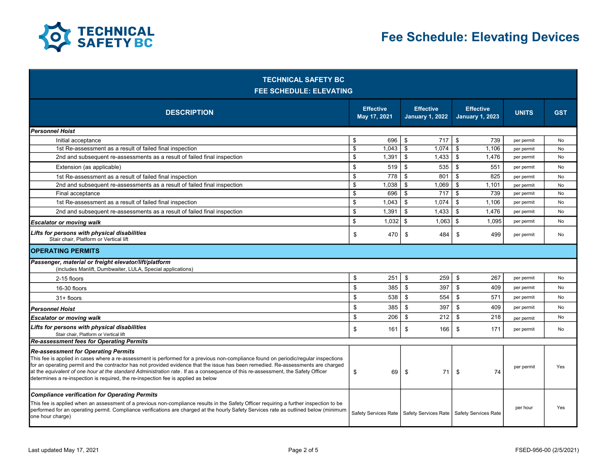

| <b>TECHNICAL SAFETY BC</b><br><b>FEE SCHEDULE: ELEVATING</b>                                                                                                                                                                                                                                                                                                                                                                                                                                                                                    |                                  |                      |                                            |                                            |                      |              |            |  |  |
|-------------------------------------------------------------------------------------------------------------------------------------------------------------------------------------------------------------------------------------------------------------------------------------------------------------------------------------------------------------------------------------------------------------------------------------------------------------------------------------------------------------------------------------------------|----------------------------------|----------------------|--------------------------------------------|--------------------------------------------|----------------------|--------------|------------|--|--|
| <b>DESCRIPTION</b>                                                                                                                                                                                                                                                                                                                                                                                                                                                                                                                              | <b>Effective</b><br>May 17, 2021 |                      | <b>Effective</b><br><b>January 1, 2022</b> | <b>Effective</b><br><b>January 1, 2023</b> |                      | <b>UNITS</b> | <b>GST</b> |  |  |
| Personnel Hoist                                                                                                                                                                                                                                                                                                                                                                                                                                                                                                                                 |                                  |                      |                                            |                                            |                      |              |            |  |  |
| Initial acceptance                                                                                                                                                                                                                                                                                                                                                                                                                                                                                                                              | \$                               | 696                  | \$<br>717                                  | \$                                         | 739                  | per permit   | No         |  |  |
| 1st Re-assessment as a result of failed final inspection                                                                                                                                                                                                                                                                                                                                                                                                                                                                                        | \$                               | 1,043                | \$<br>1.074                                | \$                                         | 1,106                | per permit   | <b>No</b>  |  |  |
| 2nd and subsequent re-assessments as a result of failed final inspection                                                                                                                                                                                                                                                                                                                                                                                                                                                                        | \$                               | 1.391                | \$<br>1,433                                | \$                                         | 1.476                | per permit   | No         |  |  |
| Extension (as applicable)                                                                                                                                                                                                                                                                                                                                                                                                                                                                                                                       | \$                               | 519                  | 535<br>\$                                  | \$                                         | 551                  | per permit   | No         |  |  |
| 1st Re-assessment as a result of failed final inspection                                                                                                                                                                                                                                                                                                                                                                                                                                                                                        | \$                               | 778                  | \$<br>801                                  | \$                                         | 825                  | per permit   | No         |  |  |
| 2nd and subsequent re-assessments as a result of failed final inspection                                                                                                                                                                                                                                                                                                                                                                                                                                                                        | \$                               | 1.038                | \$<br>1,069                                | \$                                         | 1,101                | per permit   | No         |  |  |
| Final acceptance                                                                                                                                                                                                                                                                                                                                                                                                                                                                                                                                | \$                               | 696                  | \$<br>717                                  | \$                                         | 739                  | per permit   | <b>No</b>  |  |  |
| 1st Re-assessment as a result of failed final inspection                                                                                                                                                                                                                                                                                                                                                                                                                                                                                        | \$                               | 1,043                | \$<br>1,074                                | \$                                         | 1,106                | per permit   | No         |  |  |
| 2nd and subsequent re-assessments as a result of failed final inspection                                                                                                                                                                                                                                                                                                                                                                                                                                                                        | \$                               | 1,391                | \$<br>1,433                                | \$                                         | 1,476                | per permit   | No         |  |  |
| <b>Escalator or moving walk</b>                                                                                                                                                                                                                                                                                                                                                                                                                                                                                                                 | \$                               | 1.032                | \$<br>1,063                                | \$                                         | 1.095                | per permit   | No         |  |  |
| Lifts for persons with physical disabilities<br>Stair chair. Platform or Vertical lift                                                                                                                                                                                                                                                                                                                                                                                                                                                          | \$                               | 470                  | \$<br>484                                  | \$                                         | 499                  | per permit   | No         |  |  |
| <b>IOPERATING PERMITS</b>                                                                                                                                                                                                                                                                                                                                                                                                                                                                                                                       |                                  |                      |                                            |                                            |                      |              |            |  |  |
| Passenger, material or freight elevator/lift/platform<br>(includes Manlift, Dumbwaiter, LULA, Special applications)                                                                                                                                                                                                                                                                                                                                                                                                                             |                                  |                      |                                            |                                            |                      |              |            |  |  |
| 2-15 floors                                                                                                                                                                                                                                                                                                                                                                                                                                                                                                                                     | \$                               | 251                  | \$<br>259                                  | \$                                         | 267                  | per permit   | No         |  |  |
| 16-30 floors                                                                                                                                                                                                                                                                                                                                                                                                                                                                                                                                    | \$                               | 385                  | \$<br>397                                  | $\boldsymbol{\mathsf{s}}$                  | 409                  | per permit   | No         |  |  |
| 31+ floors                                                                                                                                                                                                                                                                                                                                                                                                                                                                                                                                      | \$                               | 538                  | \$<br>554                                  | \$                                         | 571                  | per permit   | No         |  |  |
| <b>Personnel Hoist</b>                                                                                                                                                                                                                                                                                                                                                                                                                                                                                                                          | \$                               | 385                  | \$<br>397                                  | \$                                         | 409                  | per permit   | No         |  |  |
| <b>Escalator or moving walk</b>                                                                                                                                                                                                                                                                                                                                                                                                                                                                                                                 | \$                               | 206                  | \$<br>212                                  | \$                                         | 218                  | per permit   | No         |  |  |
| Lifts for persons with physical disabilities<br>Stair chair, Platform or Vertical lift                                                                                                                                                                                                                                                                                                                                                                                                                                                          | \$                               | 161                  | \$<br>166                                  | \$                                         | 171                  | per permit   | No         |  |  |
| Re-assessment fees for Operating Permits                                                                                                                                                                                                                                                                                                                                                                                                                                                                                                        |                                  |                      |                                            |                                            |                      |              |            |  |  |
| <b>Re-assessment for Operating Permits</b><br>This fee is applied in cases where a re-assessment is performed for a previous non-compliance found on periodic/regular inspections<br>for an operating permit and the contractor has not provided evidence that the issue has been remedied. Re-assessments are charged<br>at the equivalent of one hour at the standard Administration rate. If as a consequence of this re-assessment, the Safety Officer<br>determines a re-inspection is required, the re-inspection fee is applied as below | \$                               | 69                   | 71<br>\$                                   | \$                                         | 74                   | per permit   | Yes        |  |  |
| <b>Compliance verification for Operating Permits</b><br>This fee is applied when an assessment of a previous non-compliance results in the Safety Officer requiring a further inspection to be<br>performed for an operating permit. Compliance verifications are charged at the hourly Safety Services rate as outlined below (minimum<br>one hour charge)                                                                                                                                                                                     |                                  | Safety Services Rate | Safety Services Rate                       |                                            | Safety Services Rate | per hour     | Yes        |  |  |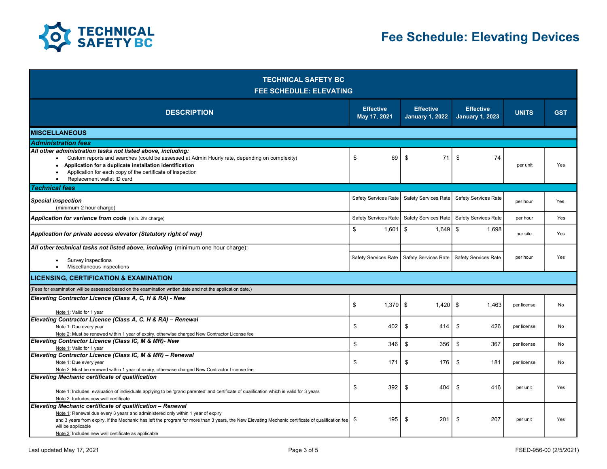

| <b>TECHNICAL SAFETY BC</b><br><b>FEE SCHEDULE: ELEVATING</b>                                                                                                                                                                                                                                                                                                                  |                                  |                                            |                                            |              |            |  |  |  |  |
|-------------------------------------------------------------------------------------------------------------------------------------------------------------------------------------------------------------------------------------------------------------------------------------------------------------------------------------------------------------------------------|----------------------------------|--------------------------------------------|--------------------------------------------|--------------|------------|--|--|--|--|
| <b>DESCRIPTION</b>                                                                                                                                                                                                                                                                                                                                                            | <b>Effective</b><br>May 17, 2021 | <b>Effective</b><br><b>January 1, 2022</b> | <b>Effective</b><br><b>January 1, 2023</b> | <b>UNITS</b> | <b>GST</b> |  |  |  |  |
| IMISCELLANEOUS                                                                                                                                                                                                                                                                                                                                                                |                                  |                                            |                                            |              |            |  |  |  |  |
| <b>Administration fees</b>                                                                                                                                                                                                                                                                                                                                                    |                                  |                                            |                                            |              |            |  |  |  |  |
| All other administration tasks not listed above, including:<br>Custom reports and searches (could be assessed at Admin Hourly rate, depending on complexity)<br>$\bullet$<br>Application for a duplicate installation identification<br>Application for each copy of the certificate of inspection<br>Replacement wallet ID card                                              | \$<br>69                         | \$<br>71                                   | \$<br>74                                   | per unit     | Yes        |  |  |  |  |
| <b>Technical fees</b>                                                                                                                                                                                                                                                                                                                                                         |                                  |                                            |                                            |              |            |  |  |  |  |
| <b>Special inspection</b><br>(minimum 2 hour charge)                                                                                                                                                                                                                                                                                                                          | Safety Services Rate             | Safety Services Rate                       | <b>Safety Services Rate</b>                | per hour     | Yes        |  |  |  |  |
| Application for variance from code (min. 2hr charge)                                                                                                                                                                                                                                                                                                                          | Safety Services Rate             | <b>Safety Services Rate</b>                | <b>Safety Services Rate</b>                | per hour     | Yes        |  |  |  |  |
| Application for private access elevator (Statutory right of way)                                                                                                                                                                                                                                                                                                              | \$<br>1.601                      | \$<br>1.649                                | \$<br>1.698                                | per site     | Yes        |  |  |  |  |
| All other technical tasks not listed above, including (minimum one hour charge):                                                                                                                                                                                                                                                                                              |                                  |                                            |                                            |              |            |  |  |  |  |
| Survey inspections<br>$\bullet$<br>Miscellaneous inspections                                                                                                                                                                                                                                                                                                                  | Safety Services Rate             | Safety Services Rate                       | <b>Safety Services Rate</b>                | per hour     | Yes        |  |  |  |  |
| <b>LICENSING, CERTIFICATION &amp; EXAMINATION</b>                                                                                                                                                                                                                                                                                                                             |                                  |                                            |                                            |              |            |  |  |  |  |
| (Fees for examination will be assessed based on the examination written date and not the application date.)                                                                                                                                                                                                                                                                   |                                  |                                            |                                            |              |            |  |  |  |  |
| Elevating Contractor Licence (Class A, C, H & RA) - New<br>Note 1: Valid for 1 year                                                                                                                                                                                                                                                                                           | \$<br>1,379                      | -\$<br>1,420                               | \$<br>1,463                                | per license  | No         |  |  |  |  |
| Elevating Contractor Licence (Class A, C, H & RA) - Renewal<br>Note 1: Due every year<br>Note 2: Must be renewed within 1 year of expiry, otherwise charged New Contractor License fee                                                                                                                                                                                        | \$<br>402                        | \$<br>414                                  | 426<br>\$                                  | per license  | No         |  |  |  |  |
| Elevating Contractor Licence (Class IC, M & MR)- New                                                                                                                                                                                                                                                                                                                          | \$<br>346                        | 356<br>\$                                  | \$<br>367                                  | per license  | No         |  |  |  |  |
| Note 1: Valid for 1 year<br>Elevating Contractor Licence (Class IC, M & MR) - Renewal                                                                                                                                                                                                                                                                                         |                                  |                                            |                                            |              |            |  |  |  |  |
| Note 1: Due every year<br>Note 2: Must be renewed within 1 year of expiry, otherwise charged New Contractor License fee                                                                                                                                                                                                                                                       | \$<br>171                        | 176<br>\$                                  | \$<br>181                                  | per license  | No         |  |  |  |  |
| Elevating Mechanic certificate of qualification<br>Note 1: Includes evaluation of individuals applying to be 'grand parented' and certificate of qualification which is valid for 3 years<br>Note 2: Includes new wall certificate                                                                                                                                            | \$<br>392                        | 404<br>\$                                  | 416<br>\$                                  | per unit     | Yes        |  |  |  |  |
| Elevating Mechanic certificate of qualification - Renewal<br>Note 1: Renewal due every 3 years and administered only within 1 year of expiry<br>and 3 years from expiry. If the Mechanic has left the program for more than 3 years, the New Elevating Mechanic certificate of qualification fee<br>will be applicable<br>Note 3: Includes new wall certificate as applicable | 195<br>\$                        | 201<br>\$                                  | 207<br>\$                                  | per unit     | Yes        |  |  |  |  |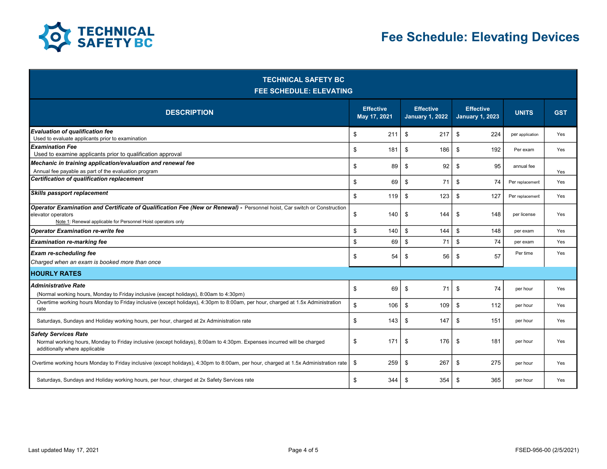

| <b>TECHNICAL SAFETY BC</b><br><b>FEE SCHEDULE: ELEVATING</b>                                                                                                                                                    |                                  |     |    |                                            |                                            |     |                 |            |  |
|-----------------------------------------------------------------------------------------------------------------------------------------------------------------------------------------------------------------|----------------------------------|-----|----|--------------------------------------------|--------------------------------------------|-----|-----------------|------------|--|
| <b>DESCRIPTION</b>                                                                                                                                                                                              | <b>Effective</b><br>May 17, 2021 |     |    | <b>Effective</b><br><b>January 1, 2022</b> | <b>Effective</b><br><b>January 1, 2023</b> |     | <b>UNITS</b>    | <b>GST</b> |  |
| Evaluation of qualification fee<br>Used to evaluate applicants prior to examination                                                                                                                             | \$                               | 211 | \$ | 217                                        | \$                                         | 224 | per application | Yes        |  |
| <b>Examination Fee</b><br>Used to examine applicants prior to qualification approval                                                                                                                            | \$                               | 181 | \$ | 186                                        | \$                                         | 192 | Per exam        | Yes        |  |
| Mechanic in training application/evaluation and renewal fee<br>Annual fee payable as part of the evaluation program                                                                                             | \$                               | 89  | \$ | 92                                         | \$                                         | 95  | annual fee      | Yes        |  |
| Certification of qualification replacement                                                                                                                                                                      | \$                               | 69  | \$ | 71                                         | \$                                         | 74  | Per replacement | Yes        |  |
| Skills passport replacement                                                                                                                                                                                     | \$                               | 119 | \$ | 123                                        | \$                                         | 127 | Per replacement | Yes        |  |
| Operator Examination and Certificate of Qualification Fee (New or Renewal) - Personnel hoist, Car switch or Construction<br>elevator operators<br>Note 1: Renewal applicable for Personnel Hoist operators only | \$                               | 140 | \$ | 144                                        | \$                                         | 148 | per license     | Yes        |  |
| Operator Examination re-write fee                                                                                                                                                                               | \$                               | 140 | \$ | 144                                        | \$                                         | 148 | per exam        | Yes        |  |
| Examination re-marking fee                                                                                                                                                                                      | \$                               | 69  | \$ | 71                                         | \$                                         | 74  | per exam        | Yes        |  |
| <b>Exam re-scheduling fee</b><br>Charged when an exam is booked more than once                                                                                                                                  | \$                               | 54  | \$ | 56                                         | \$                                         | 57  | Per time        | Yes        |  |
| <b>HOURLY RATES</b>                                                                                                                                                                                             |                                  |     |    |                                            |                                            |     |                 |            |  |
| Administrative Rate<br>(Normal working hours, Monday to Friday inclusive (except holidays), 8:00am to 4:30pm)                                                                                                   | \$                               | 69  | \$ | 71                                         | \$                                         | 74  | per hour        | Yes        |  |
| Overtime working hours Monday to Friday inclusive (except holidays), 4:30pm to 8:00am, per hour, charged at 1.5x Administration<br>rate                                                                         | \$                               | 106 | \$ | 109                                        | \$                                         | 112 | per hour        | Yes        |  |
| Saturdays, Sundays and Holiday working hours, per hour, charged at 2x Administration rate                                                                                                                       | \$                               | 143 | \$ | 147                                        | \$                                         | 151 | per hour        | Yes        |  |
| <b>Safety Services Rate</b><br>Normal working hours, Monday to Friday inclusive (except holidays), 8:00am to 4:30pm. Expenses incurred will be charged<br>additionally where applicable                         | \$                               | 171 | \$ | 176                                        | \$                                         | 181 | per hour        | Yes        |  |
| Overtime working hours Monday to Friday inclusive (except holidays), 4:30pm to 8:00am, per hour, charged at 1.5x Administration rate                                                                            | \$                               | 259 | \$ | 267                                        | \$                                         | 275 | per hour        | Yes        |  |
| Saturdays, Sundays and Holiday working hours, per hour, charged at 2x Safety Services rate                                                                                                                      | \$                               | 344 | \$ | 354                                        | \$                                         | 365 | per hour        | Yes        |  |